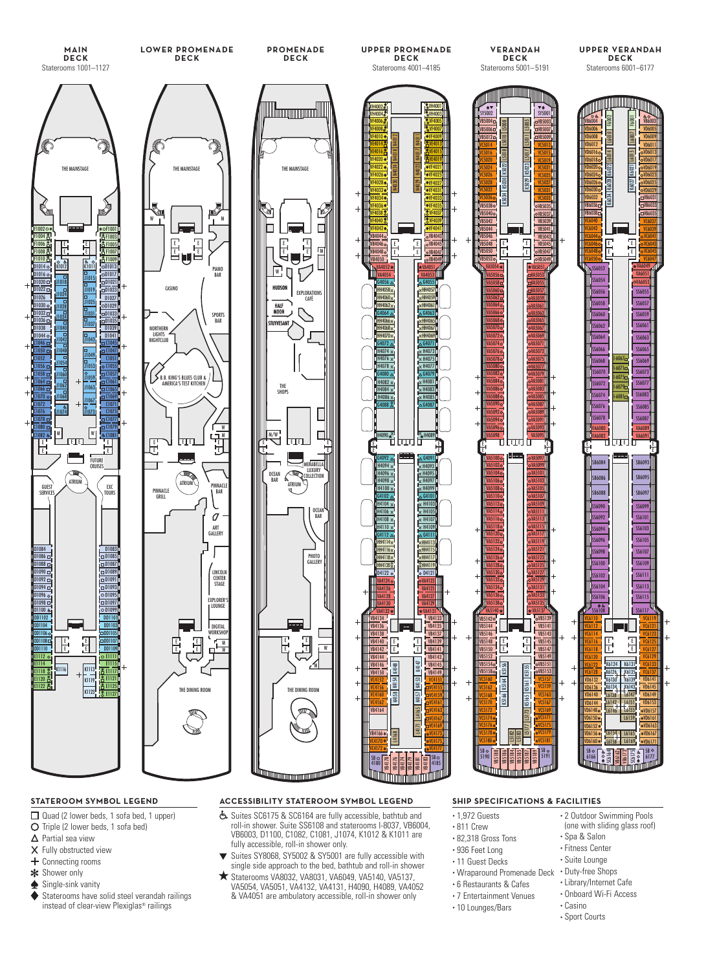



**UPPER VERANDAH**

- Quad (2 lower beds, 1 sofa bed, 1 upper)
- O Triple (2 lower beds, 1 sofa bed)
- $\Delta$  Partial sea view
- X Fully obstructed view
- $+$  Connecting rooms **\*** Shower only
- 
- Single-sink vanity
- Staterooms have solid steel verandah railings instead of clear-view Plexiglas® railings

### **STATEROOM SYMBOL LEGEND ACCESSIBILITY STATEROOM SYMBOL LEGEND SHIP SPECIFICATIONS & FACILITIES**

- Suites SC6175 & SC6164 are fully accessible, bathtub and roll-in shower. Suite SS6108 and staterooms I-8037, VB6004, VB6003, D1100, C1082, C1081, J1074, K1012 & K1011 are fully accessible, roll-in shower only.
- Suites SY8068, SY5002 & SY5001 are fully accessible with single side approach to the bed, bathtub and roll-in shower
- Staterooms VA8032, VA8031, VA6049, VA5140, VA5137, VA5054, VA5051, VA4132, VA4131, H4090, H4089, VA4052 & VA4051 are ambulatory accessible, roll-in shower only

- 1,972 Guests • 811 Crew
- 82,318 Gross Tons
- 936 Feet Long
- 11 Guest Decks
- Wraparound Promenade Deck
- 6 Restaurants & Cafes
- 7 Entertainment Venues
- 10 Lounges/Bars
- 2 Outdoor Swimming Pools (one with sliding glass roof)
- Spa & Salon
- Fitness Center
- Suite Lounge
- Duty-free Shops
- Library/Internet Cafe
- Onboard Wi-Fi Access
- Casino
	- Sport Courts